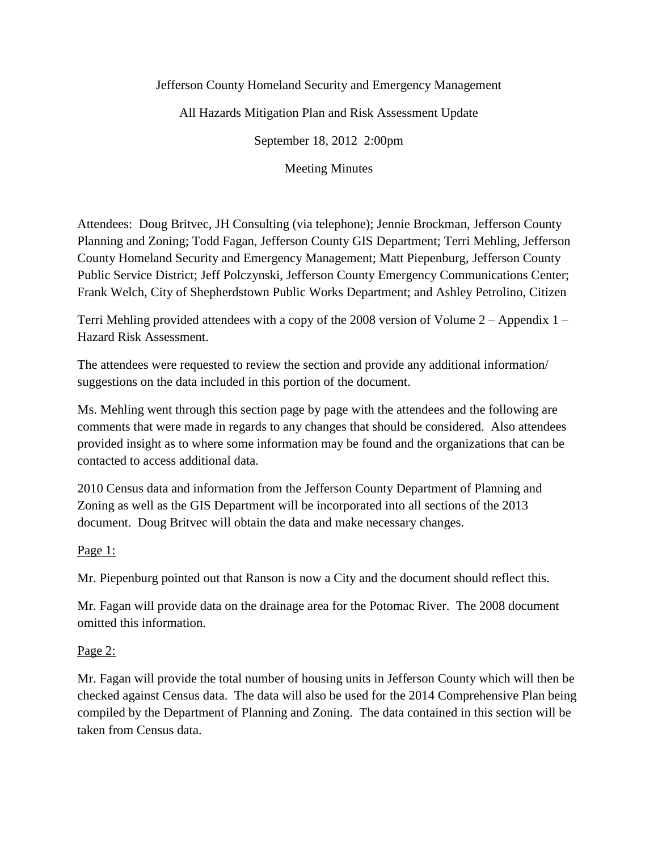### Jefferson County Homeland Security and Emergency Management

All Hazards Mitigation Plan and Risk Assessment Update

September 18, 2012 2:00pm

Meeting Minutes

Attendees: Doug Britvec, JH Consulting (via telephone); Jennie Brockman, Jefferson County Planning and Zoning; Todd Fagan, Jefferson County GIS Department; Terri Mehling, Jefferson County Homeland Security and Emergency Management; Matt Piepenburg, Jefferson County Public Service District; Jeff Polczynski, Jefferson County Emergency Communications Center; Frank Welch, City of Shepherdstown Public Works Department; and Ashley Petrolino, Citizen

Terri Mehling provided attendees with a copy of the 2008 version of Volume  $2 -$ Appendix 1 Hazard Risk Assessment.

The attendees were requested to review the section and provide any additional information/ suggestions on the data included in this portion of the document.

Ms. Mehling went through this section page by page with the attendees and the following are comments that were made in regards to any changes that should be considered. Also attendees provided insight as to where some information may be found and the organizations that can be contacted to access additional data.

2010 Census data and information from the Jefferson County Department of Planning and Zoning as well as the GIS Department will be incorporated into all sections of the 2013 document. Doug Britvec will obtain the data and make necessary changes.

### Page 1:

Mr. Piepenburg pointed out that Ranson is now a City and the document should reflect this.

Mr. Fagan will provide data on the drainage area for the Potomac River. The 2008 document omitted this information.

### Page 2:

Mr. Fagan will provide the total number of housing units in Jefferson County which will then be checked against Census data. The data will also be used for the 2014 Comprehensive Plan being compiled by the Department of Planning and Zoning. The data contained in this section will be taken from Census data.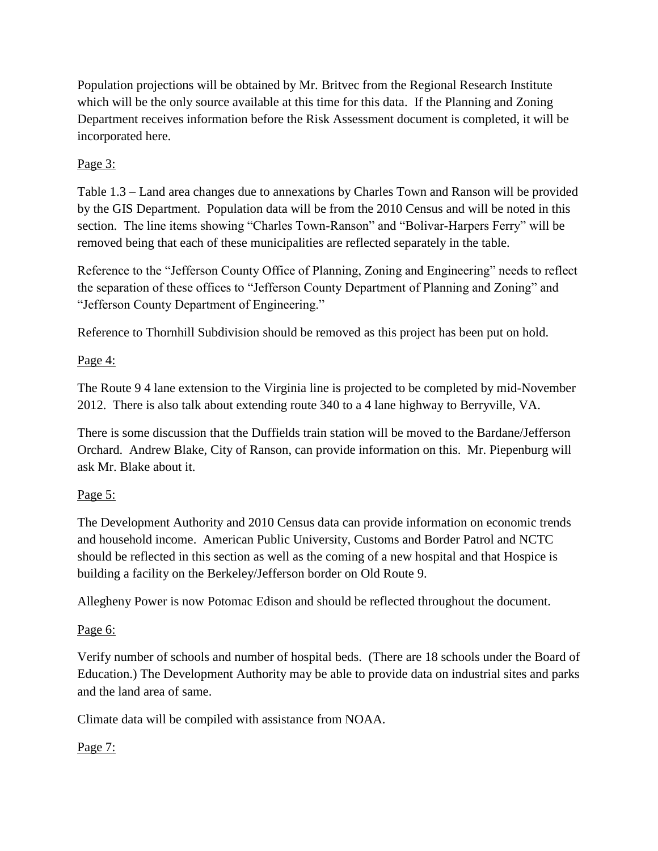Population projections will be obtained by Mr. Britvec from the Regional Research Institute which will be the only source available at this time for this data. If the Planning and Zoning Department receives information before the Risk Assessment document is completed, it will be incorporated here.

## Page 3:

Table 1.3 – Land area changes due to annexations by Charles Town and Ranson will be provided by the GIS Department. Population data will be from the 2010 Census and will be noted in this section. The line items showing "Charles Town-Ranson" and "Bolivar-Harpers Ferry" will be removed being that each of these municipalities are reflected separately in the table.

Reference to the "Jefferson County Office of Planning, Zoning and Engineering" needs to reflect the separation of these offices to "Jefferson County Department of Planning and Zoning" and "Jefferson County Department of Engineering."

Reference to Thornhill Subdivision should be removed as this project has been put on hold.

## Page 4:

The Route 9 4 lane extension to the Virginia line is projected to be completed by mid-November 2012. There is also talk about extending route 340 to a 4 lane highway to Berryville, VA.

There is some discussion that the Duffields train station will be moved to the Bardane/Jefferson Orchard. Andrew Blake, City of Ranson, can provide information on this. Mr. Piepenburg will ask Mr. Blake about it.

# Page 5:

The Development Authority and 2010 Census data can provide information on economic trends and household income. American Public University, Customs and Border Patrol and NCTC should be reflected in this section as well as the coming of a new hospital and that Hospice is building a facility on the Berkeley/Jefferson border on Old Route 9.

Allegheny Power is now Potomac Edison and should be reflected throughout the document.

# Page 6:

Verify number of schools and number of hospital beds. (There are 18 schools under the Board of Education.) The Development Authority may be able to provide data on industrial sites and parks and the land area of same.

Climate data will be compiled with assistance from NOAA.

# Page 7: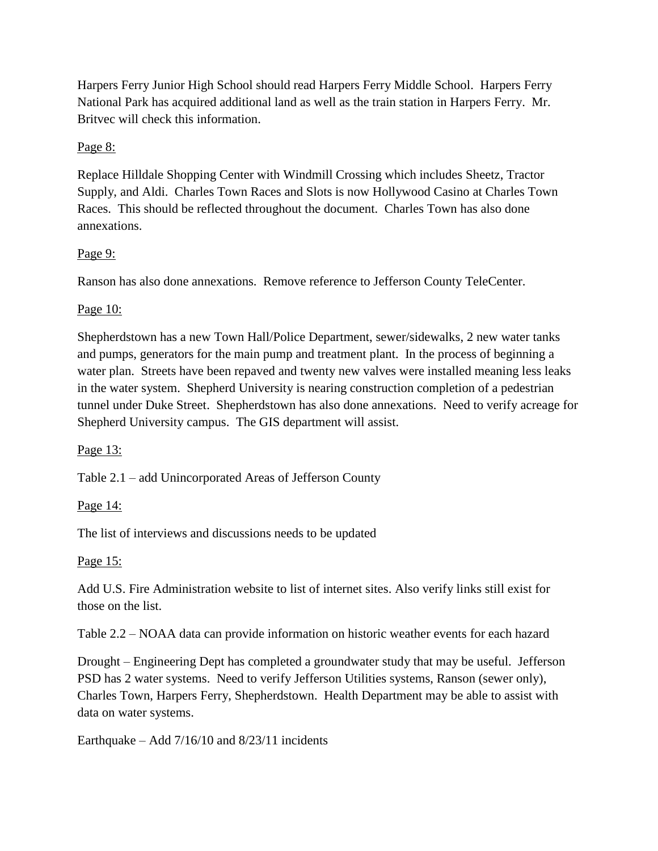Harpers Ferry Junior High School should read Harpers Ferry Middle School. Harpers Ferry National Park has acquired additional land as well as the train station in Harpers Ferry. Mr. Britvec will check this information.

### Page 8:

Replace Hilldale Shopping Center with Windmill Crossing which includes Sheetz, Tractor Supply, and Aldi. Charles Town Races and Slots is now Hollywood Casino at Charles Town Races. This should be reflected throughout the document. Charles Town has also done annexations.

### Page 9:

Ranson has also done annexations. Remove reference to Jefferson County TeleCenter.

### Page 10:

Shepherdstown has a new Town Hall/Police Department, sewer/sidewalks, 2 new water tanks and pumps, generators for the main pump and treatment plant. In the process of beginning a water plan. Streets have been repaved and twenty new valves were installed meaning less leaks in the water system. Shepherd University is nearing construction completion of a pedestrian tunnel under Duke Street. Shepherdstown has also done annexations. Need to verify acreage for Shepherd University campus. The GIS department will assist.

### Page 13:

Table 2.1 – add Unincorporated Areas of Jefferson County

#### Page 14:

The list of interviews and discussions needs to be updated

#### Page 15:

Add U.S. Fire Administration website to list of internet sites. Also verify links still exist for those on the list.

Table 2.2 – NOAA data can provide information on historic weather events for each hazard

Drought – Engineering Dept has completed a groundwater study that may be useful. Jefferson PSD has 2 water systems. Need to verify Jefferson Utilities systems, Ranson (sewer only), Charles Town, Harpers Ferry, Shepherdstown. Health Department may be able to assist with data on water systems.

Earthquake – Add 7/16/10 and 8/23/11 incidents